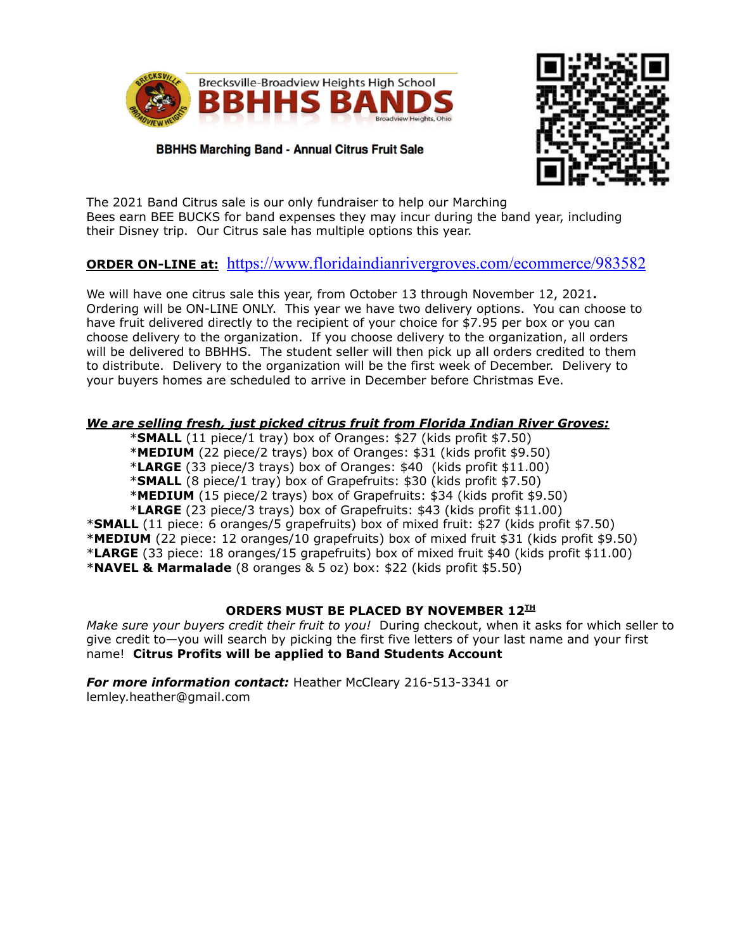

**BBHHS Marching Band - Annual Citrus Fruit Sale** 



The 2021 Band Citrus sale is our only fundraiser to help our Marching Bees earn BEE BUCKS for band expenses they may incur during the band year, including their Disney trip. Our Citrus sale has multiple options this year.

# **ORDER ON-LINE at:** <https://www.floridaindianrivergroves.com/ecommerce/983582>

We will have one citrus sale this year, from October 13 through November 12, 2021**.** Ordering will be ON-LINE ONLY. This year we have two delivery options. You can choose to have fruit delivered directly to the recipient of your choice for \$7.95 per box or you can choose delivery to the organization. If you choose delivery to the organization, all orders will be delivered to BBHHS. The student seller will then pick up all orders credited to them to distribute. Delivery to the organization will be the first week of December. Delivery to your buyers homes are scheduled to arrive in December before Christmas Eve.

#### *We are selling fresh, just picked citrus fruit from Florida Indian River Groves:*

\***SMALL** (11 piece/1 tray) box of Oranges: \$27 (kids profit \$7.50) \***MEDIUM** (22 piece/2 trays) box of Oranges: \$31 (kids profit \$9.50) \***LARGE** (33 piece/3 trays) box of Oranges: \$40 (kids profit \$11.00) \***SMALL** (8 piece/1 tray) box of Grapefruits: \$30 (kids profit \$7.50) \***MEDIUM** (15 piece/2 trays) box of Grapefruits: \$34 (kids profit \$9.50)

\***LARGE** (23 piece/3 trays) box of Grapefruits: \$43 (kids profit \$11.00)

\***SMALL** (11 piece: 6 oranges/5 grapefruits) box of mixed fruit: \$27 (kids profit \$7.50) \***MEDIUM** (22 piece: 12 oranges/10 grapefruits) box of mixed fruit \$31 (kids profit \$9.50) \***LARGE** (33 piece: 18 oranges/15 grapefruits) box of mixed fruit \$40 (kids profit \$11.00) \***NAVEL & Marmalade** (8 oranges & 5 oz) box: \$22 (kids profit \$5.50)

### **ORDERS MUST BE PLACED BY NOVEMBER 12 TH**

*Make sure your buyers credit their fruit to you!* During checkout, when it asks for which seller to give credit to—you will search by picking the first five letters of your last name and your first name! **Citrus Profits will be applied to Band Students Account**

*For more information contact:* Heather McCleary 216-513-3341 or lemley.heather@gmail.com